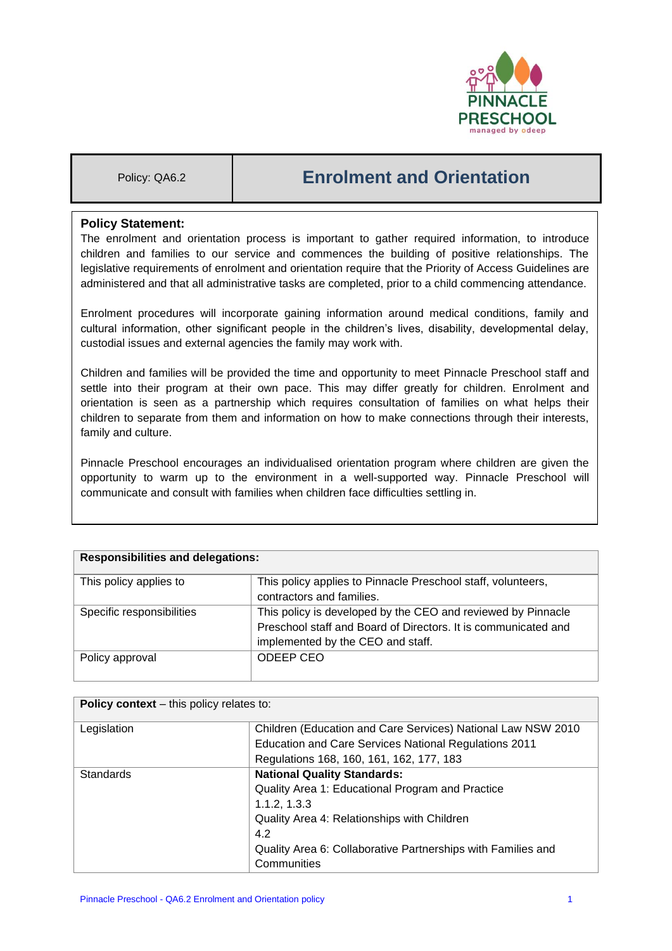

# Policy: QA6.2 **Enrolment and Orientation**

# **Policy Statement:**

The enrolment and orientation process is important to gather required information, to introduce children and families to our service and commences the building of positive relationships. The legislative requirements of enrolment and orientation require that the Priority of Access Guidelines are administered and that all administrative tasks are completed, prior to a child commencing attendance.

Enrolment procedures will incorporate gaining information around medical conditions, family and cultural information, other significant people in the children's lives, disability, developmental delay, custodial issues and external agencies the family may work with.

Children and families will be provided the time and opportunity to meet Pinnacle Preschool staff and settle into their program at their own pace. This may differ greatly for children. Enrolment and orientation is seen as a partnership which requires consultation of families on what helps their children to separate from them and information on how to make connections through their interests, family and culture.

Pinnacle Preschool encourages an individualised orientation program where children are given the opportunity to warm up to the environment in a well-supported way. Pinnacle Preschool will communicate and consult with families when children face difficulties settling in.

| <b>Responsibilities and delegations:</b> |                                                                                                                                                                     |  |
|------------------------------------------|---------------------------------------------------------------------------------------------------------------------------------------------------------------------|--|
| This policy applies to                   | This policy applies to Pinnacle Preschool staff, volunteers,<br>contractors and families.                                                                           |  |
| Specific responsibilities                | This policy is developed by the CEO and reviewed by Pinnacle<br>Preschool staff and Board of Directors. It is communicated and<br>implemented by the CEO and staff. |  |
| Policy approval                          | ODEEP CEO                                                                                                                                                           |  |

| Policy context - this policy relates to: |                                                              |  |
|------------------------------------------|--------------------------------------------------------------|--|
| Legislation                              | Children (Education and Care Services) National Law NSW 2010 |  |
|                                          | Education and Care Services National Regulations 2011        |  |
|                                          | Regulations 168, 160, 161, 162, 177, 183                     |  |
| Standards                                | <b>National Quality Standards:</b>                           |  |
|                                          | Quality Area 1: Educational Program and Practice             |  |
|                                          | 1.1.2, 1.3.3                                                 |  |
|                                          | Quality Area 4: Relationships with Children                  |  |
|                                          | 4.2                                                          |  |
|                                          | Quality Area 6: Collaborative Partnerships with Families and |  |
|                                          | Communities                                                  |  |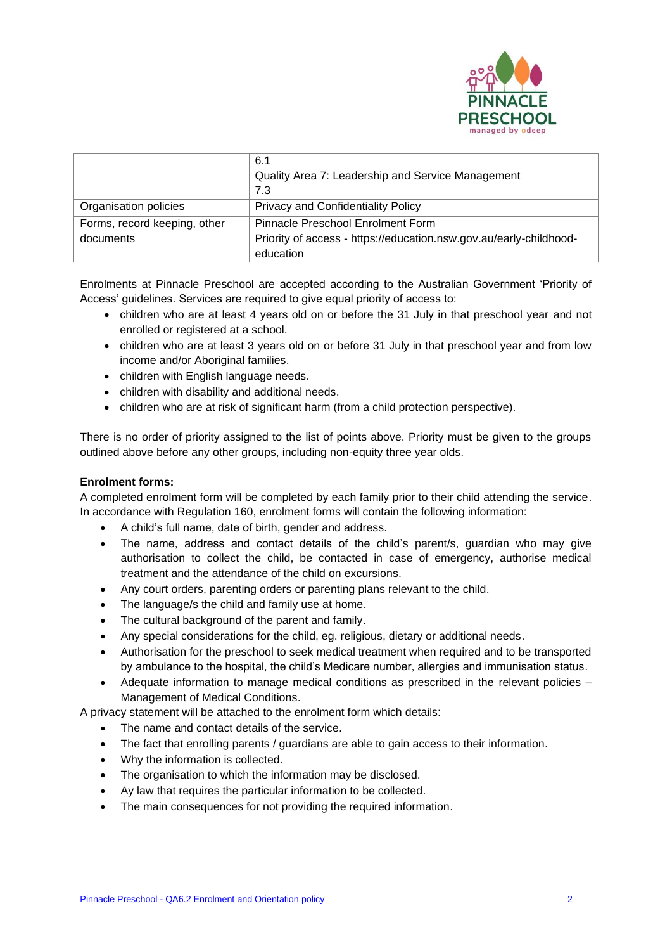

|                              | 6.1                                                                |  |
|------------------------------|--------------------------------------------------------------------|--|
|                              | Quality Area 7: Leadership and Service Management                  |  |
|                              | 7.3                                                                |  |
| Organisation policies        | <b>Privacy and Confidentiality Policy</b>                          |  |
| Forms, record keeping, other | Pinnacle Preschool Enrolment Form                                  |  |
| documents                    | Priority of access - https://education.nsw.gov.au/early-childhood- |  |
|                              | education                                                          |  |

Enrolments at Pinnacle Preschool are accepted according to the Australian Government 'Priority of Access' guidelines. Services are required to give equal priority of access to:

- children who are at least 4 years old on or before the 31 July in that preschool year and not enrolled or registered at a school.
- children who are at least 3 years old on or before 31 July in that preschool year and from low income and/or Aboriginal families.
- children with English language needs.
- children with disability and additional needs.
- children who are at risk of significant harm (from a child protection perspective).

There is no order of priority assigned to the list of points above. Priority must be given to the groups outlined above before any other groups, including non-equity three year olds.

# **Enrolment forms:**

A completed enrolment form will be completed by each family prior to their child attending the service. In accordance with Regulation 160, enrolment forms will contain the following information:

- A child's full name, date of birth, gender and address.
- The name, address and contact details of the child's parent/s, guardian who may give authorisation to collect the child, be contacted in case of emergency, authorise medical treatment and the attendance of the child on excursions.
- Any court orders, parenting orders or parenting plans relevant to the child.
- The language/s the child and family use at home.
- The cultural background of the parent and family.
- Any special considerations for the child, eg. religious, dietary or additional needs.
- Authorisation for the preschool to seek medical treatment when required and to be transported by ambulance to the hospital, the child's Medicare number, allergies and immunisation status.
- Adequate information to manage medical conditions as prescribed in the relevant policies Management of Medical Conditions.

A privacy statement will be attached to the enrolment form which details:

- The name and contact details of the service.
- The fact that enrolling parents / guardians are able to gain access to their information.
- Why the information is collected.
- The organisation to which the information may be disclosed.
- Ay law that requires the particular information to be collected.
- The main consequences for not providing the required information.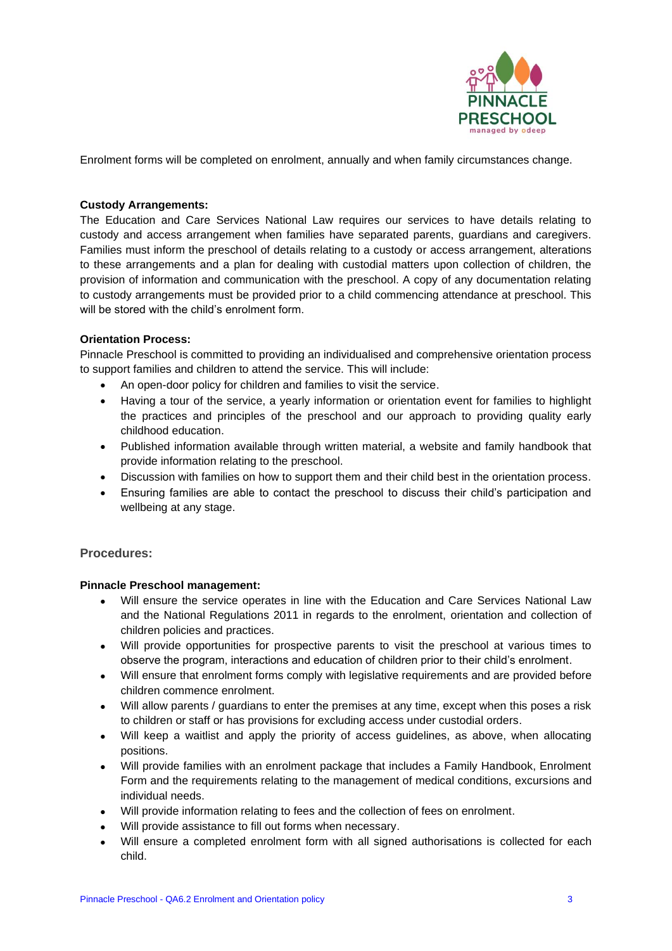

Enrolment forms will be completed on enrolment, annually and when family circumstances change.

### **Custody Arrangements:**

The Education and Care Services National Law requires our services to have details relating to custody and access arrangement when families have separated parents, guardians and caregivers. Families must inform the preschool of details relating to a custody or access arrangement, alterations to these arrangements and a plan for dealing with custodial matters upon collection of children, the provision of information and communication with the preschool. A copy of any documentation relating to custody arrangements must be provided prior to a child commencing attendance at preschool. This will be stored with the child's enrolment form.

#### **Orientation Process:**

Pinnacle Preschool is committed to providing an individualised and comprehensive orientation process to support families and children to attend the service. This will include:

- An open-door policy for children and families to visit the service.
- Having a tour of the service, a yearly information or orientation event for families to highlight the practices and principles of the preschool and our approach to providing quality early childhood education.
- Published information available through written material, a website and family handbook that provide information relating to the preschool.
- Discussion with families on how to support them and their child best in the orientation process.
- Ensuring families are able to contact the preschool to discuss their child's participation and wellbeing at any stage.

# **Procedures:**

#### **Pinnacle Preschool management:**

- Will ensure the service operates in line with the Education and Care Services National Law and the National Regulations 2011 in regards to the enrolment, orientation and collection of children policies and practices.
- Will provide opportunities for prospective parents to visit the preschool at various times to observe the program, interactions and education of children prior to their child's enrolment.
- Will ensure that enrolment forms comply with legislative requirements and are provided before children commence enrolment.
- Will allow parents / guardians to enter the premises at any time, except when this poses a risk to children or staff or has provisions for excluding access under custodial orders.
- Will keep a waitlist and apply the priority of access guidelines, as above, when allocating positions.
- Will provide families with an enrolment package that includes a Family Handbook, Enrolment Form and the requirements relating to the management of medical conditions, excursions and individual needs.
- Will provide information relating to fees and the collection of fees on enrolment.
- Will provide assistance to fill out forms when necessary.
- Will ensure a completed enrolment form with all signed authorisations is collected for each child.